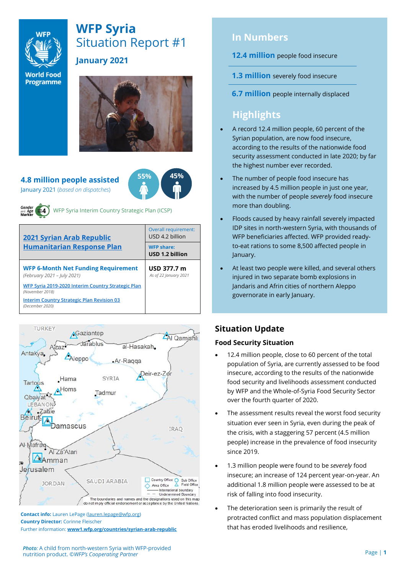

# **WFP Syria** Situation Report #1

**World Food Programme** 

# **January 2021**



**4.8 million people assisted**  January 2021 (*based on dispatches*)





WFP Syria Interim Country Strategic Plan (ICSP)

| <b>2021 Syrian Arab Republic</b>                                          | <b>Overall requirement:</b><br>USD 4.2 billion |  |  |
|---------------------------------------------------------------------------|------------------------------------------------|--|--|
| <b>Humanitarian Response Plan</b>                                         | <b>WFP share:</b><br>USD 1.2 billion           |  |  |
| <b>WFP 6-Month Net Funding Requirement</b><br>(February 2021 - July 2021) | USD 377.7 m<br>As of 22 January 2021           |  |  |
| WFP Syria 2019-2020 Interim Country Strategic Plan<br>(November 2018)     |                                                |  |  |
| <b>Interim Country Strategic Plan Revision 03</b><br>(December 2020)      |                                                |  |  |



**Contact info:** Lauren LePage [\(lauren.lepage@wfp.org\)](mailto:lauren.lepage@wfp.org) **Country Director:** Corinne Fleischer Further information: **[www1.wfp.org/countries/syrian-arab-republic](file:///C:/Users/lauren.lepage/AppData/Local/Microsoft/Windows/INetCache/Content.Outlook/HTRVWXQN/www1.wfp.org/countries/syrian-arab-republic)**

# **In Numbers**

# **12.4 million** people food insecure

**1.3 million** severely food insecure

**6.7 million** people internally displaced

# **Highlights**

- A record 12.4 million people, 60 percent of the Syrian population, are now food insecure, according to the results of the nationwide food security assessment conducted in late 2020; by far the highest number ever recorded.
- The number of people food insecure has increased by 4.5 million people in just one year, with the number of people *severely* food insecure more than doubling.
- Floods caused by heavy rainfall severely impacted IDP sites in north-western Syria, with thousands of WFP beneficiaries affected. WFP provided readyto-eat rations to some 8,500 affected people in January.
- At least two people were killed, and several others injured in two separate bomb explosions in Jandaris and Afrin cities of northern Aleppo governorate in early January.

# **Situation Update**

# **Food Security Situation**

- 12.4 million people, close to 60 percent of the total population of Syria, are currently assessed to be food insecure, according to the results of the nationwide food security and livelihoods assessment conducted by WFP and the Whole-of-Syria Food Security Sector over the fourth quarter of 2020.
- The assessment results reveal the worst food security situation ever seen in Syria, even during the peak of the crisis, with a staggering 57 percent (4.5 million people) increase in the prevalence of food insecurity since 2019.
- 1.3 million people were found to be *severely* food insecure; an increase of 124 percent year-on-year. An additional 1.8 million people were assessed to be at risk of falling into food insecurity.
- The deterioration seen is primarily the result of protracted conflict and mass population displacement that has eroded livelihoods and resilience,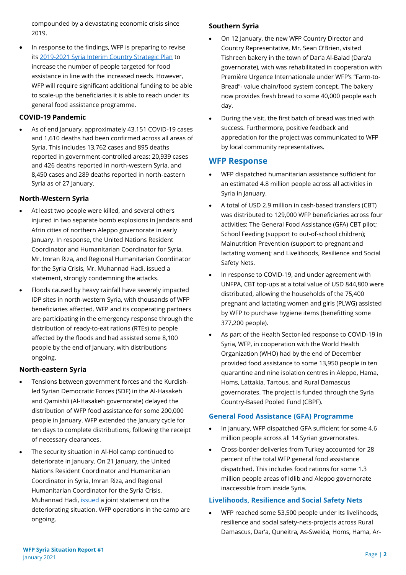compounded by a devastating economic crisis since 2019.

• In response to the findings, WFP is preparing to revise its [2019-2021 Syria Interim Country Strategic Plan](https://www.wfp.org/operations/sy02-syrian-arab-republic-interim-country-strategic-plan-2019-2021) to increase the number of people targeted for food assistance in line with the increased needs. However, WFP will require significant additional funding to be able to scale-up the beneficiaries it is able to reach under its general food assistance programme.

### **COVID-19 Pandemic**

• As of end January, approximately 43,151 COVID-19 cases and 1,610 deaths had been confirmed across all areas of Syria. This includes 13,762 cases and 895 deaths reported in government-controlled areas; 20,939 cases and 426 deaths reported in north-western Syria, and 8,450 cases and 289 deaths reported in north-eastern Syria as of 27 January.

### **North-Western Syria**

- At least two people were killed, and several others injured in two separate bomb explosions in Jandaris and Afrin cities of northern Aleppo governorate in early January. In response, the United Nations Resident Coordinator and Humanitarian Coordinator for Syria, Mr. Imran Riza, and Regional Humanitarian Coordinator for the Syria Crisis, Mr. Muhannad Hadi, issued a statement, strongly condemning the attacks.
- Floods caused by heavy rainfall have severely impacted IDP sites in north-western Syria, with thousands of WFP beneficiaries affected. WFP and its cooperating partners are participating in the emergency response through the distribution of ready-to-eat rations (RTEs) to people affected by the floods and had assisted some 8,100 people by the end of January, with distributions ongoing.

# **North-eastern Syria**

- Tensions between government forces and the Kurdishled Syrian Democratic Forces (SDF) in the Al-Hasakeh and Qamishli (Al-Hasakeh governorate) delayed the distribution of WFP food assistance for some 200,000 people in January. WFP extended the January cycle for ten days to complete distributions, following the receipt of necessary clearances.
- The security situation in Al-Hol camp continued to deteriorate in January. On 21 January, the United Nations Resident Coordinator and Humanitarian Coordinator in Syria, Imran Riza, and Regional Humanitarian Coordinator for the Syria Crisis, Muhannad Hadi, [issued](https://reliefweb.int/report/syrian-arab-republic/united-nations-resident-coordinator-and-humanitarian-coordinator-syria-6) a joint statement on the deteriorating situation. WFP operations in the camp are ongoing.

### **Southern Syria**

- On 12 January, the new WFP Country Director and Country Representative, Mr. Sean O'Brien, visited Tishreen bakery in the town of Dar'a Al-Balad (Dara'a governorate), wich was rehabilitated in cooperation with Première Urgence Internationale under WFP's "Farm-to-Bread"- value chain/food system concept. The bakery now provides fresh bread to some 40,000 people each day.
- During the visit, the first batch of bread was tried with success. Furthermore, positive feedback and appreciation for the project was communicated to WFP by local community representatives.

# **WFP Response**

- WFP dispatched humanitarian assistance sufficient for an estimated 4.8 million people across all activities in Syria in January.
- A total of USD 2.9 million in cash-based transfers (CBT) was distributed to 129,000 WFP beneficiaries across four activities: The General Food Assistance (GFA) CBT pilot; School Feeding (support to out-of-school children); Malnutrition Prevention (support to pregnant and lactating women); and Livelihoods, Resilience and Social Safety Nets.
- In response to COVID-19, and under agreement with UNFPA, CBT top-ups at a total value of USD 844,800 were distributed, allowing the households of the 75,400 pregnant and lactating women and girls (PLWG) assisted by WFP to purchase hygiene items (benefitting some 377,200 people).
- As part of the Health Sector-led response to COVID-19 in Syria, WFP, in cooperation with the World Health Organization (WHO) had by the end of December provided food assistance to some 13,950 people in ten quarantine and nine isolation centres in Aleppo, Hama, Homs, Lattakia, Tartous, and Rural Damascus governorates. The project is funded through the Syria Country-Based Pooled Fund (CBPF).

# **General Food Assistance (GFA) Programme**

- In January, WFP dispatched GFA sufficient for some 4.6 million people across all 14 Syrian governorates.
- Cross-border deliveries from Turkey accounted for 28 percent of the total WFP general food assistance dispatched. This includes food rations for some 1.3 million people areas of Idlib and Aleppo governorate inaccessible from inside Syria.

#### **Livelihoods, Resilience and Social Safety Nets**

• WFP reached some 53,500 people under its livelihoods, resilience and social safety-nets-projects across Rural Damascus, Dar'a, Quneitra, As-Sweida, Homs, Hama, Ar